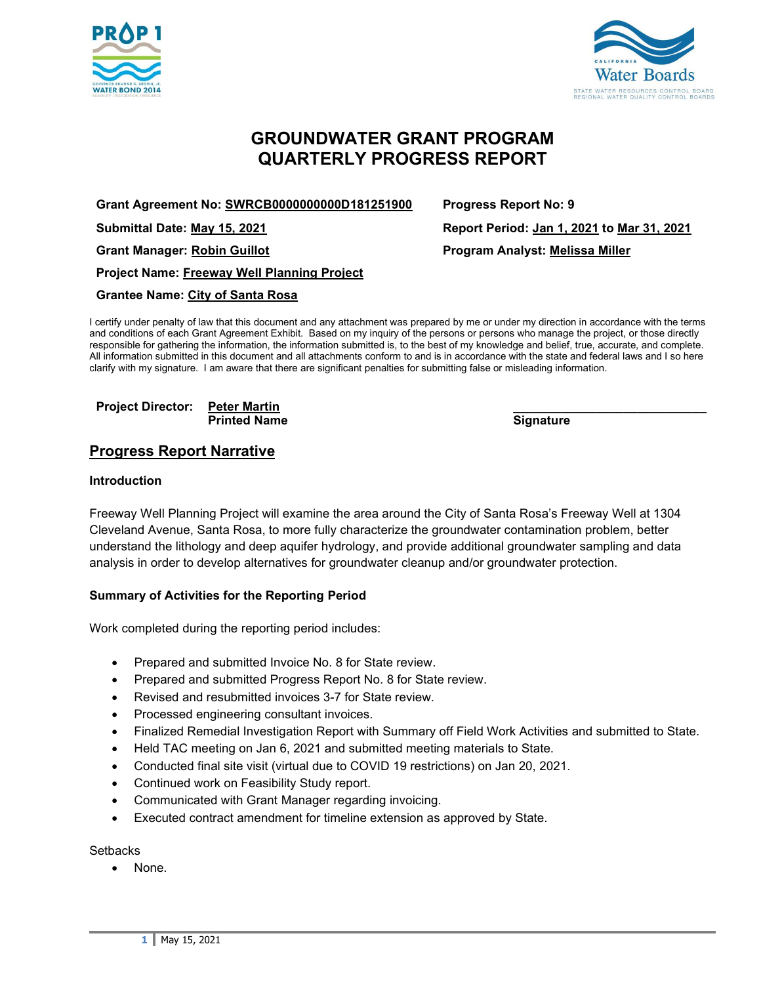



# **GROUNDWATER GRANT PROGRAM QUARTERLY PROGRESS REPORT**

**Grant Agreement No: SWRCB0000000000D181251900 Progress Report No: 9**

**Project Name: Freeway Well Planning Project**

## **Grantee Name: City of Santa Rosa**

I certify under penalty of law that this document and any attachment was prepared by me or under my direction in accordance with the terms and conditions of each Grant Agreement Exhibit. Based on my inquiry of the persons or persons who manage the project, or those directly responsible for gathering the information, the information submitted is, to the best of my knowledge and belief, true, accurate, and complete. All information submitted in this document and all attachments conform to and is in accordance with the state and federal laws and I so here clarify with my signature. I am aware that there are significant penalties for submitting false or misleading information.

#### **Project Director: Peter Martin \_\_\_\_\_\_\_\_\_\_\_\_\_\_\_\_\_\_\_\_\_\_\_\_\_\_\_\_ Printed Name**

# **Progress Report Narrative**

#### **Introduction**

Freeway Well Planning Project will examine the area around the City of Santa Rosa's Freeway Well at 1304 Cleveland Avenue, Santa Rosa, to more fully characterize the groundwater contamination problem, better understand the lithology and deep aquifer hydrology, and provide additional groundwater sampling and data analysis in order to develop alternatives for groundwater cleanup and/or groundwater protection.

## **Summary of Activities for the Reporting Period**

Work completed during the reporting period includes:

- Prepared and submitted Invoice No. 8 for State review.
- Prepared and submitted Progress Report No. 8 for State review.
- Revised and resubmitted invoices 3-7 for State review.
- Processed engineering consultant invoices.
- Finalized Remedial Investigation Report with Summary off Field Work Activities and submitted to State.
- Held TAC meeting on Jan 6, 2021 and submitted meeting materials to State.
- Conducted final site visit (virtual due to COVID 19 restrictions) on Jan 20, 2021.
- Continued work on Feasibility Study report.
- Communicated with Grant Manager regarding invoicing.
- Executed contract amendment for timeline extension as approved by State.

## **Setbacks**

None.

**Submittal Date: May 15, 2021 Report Period: Jan 1, 2021 to Mar 31, 2021 Grant Manager: Robin Guillot Program Analyst: Melissa Miller**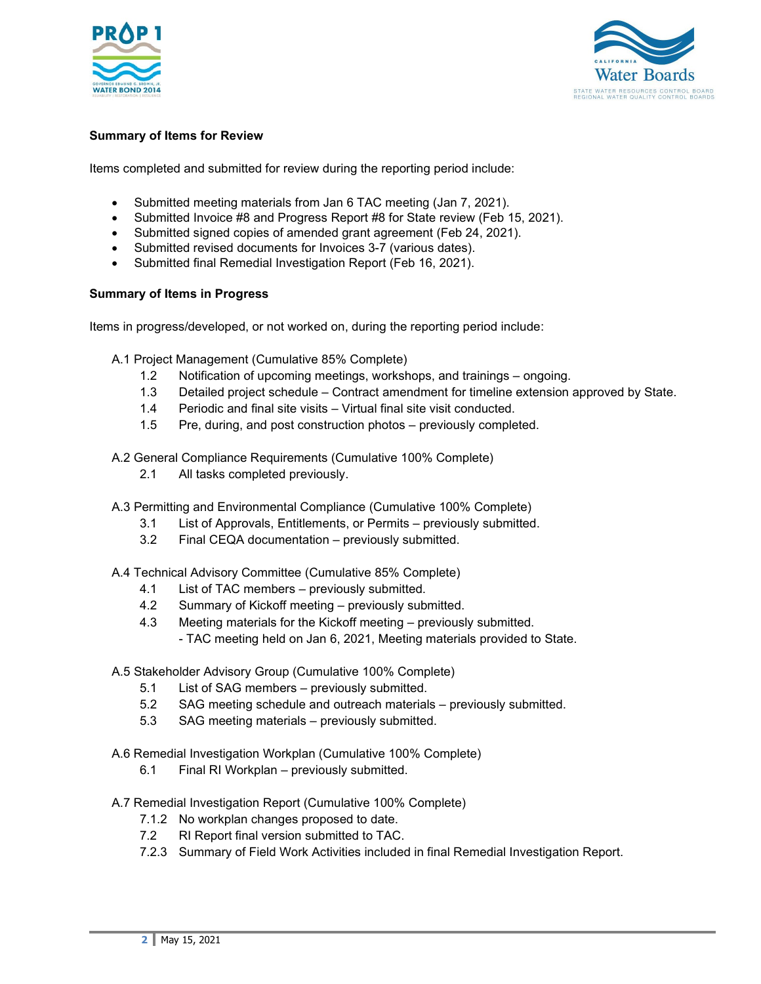



## **Summary of Items for Review**

Items completed and submitted for review during the reporting period include:

- Submitted meeting materials from Jan 6 TAC meeting (Jan 7, 2021).
- Submitted Invoice #8 and Progress Report #8 for State review (Feb 15, 2021).
- Submitted signed copies of amended grant agreement (Feb 24, 2021).
- Submitted revised documents for Invoices 3-7 (various dates).
- Submitted final Remedial Investigation Report (Feb 16, 2021).

#### **Summary of Items in Progress**

Items in progress/developed, or not worked on, during the reporting period include:

- A.1 Project Management (Cumulative 85% Complete)
	- 1.2 Notification of upcoming meetings, workshops, and trainings ongoing.
	- 1.3 Detailed project schedule Contract amendment for timeline extension approved by State.
	- 1.4 Periodic and final site visits Virtual final site visit conducted.
	- 1.5 Pre, during, and post construction photos previously completed.

A.2 General Compliance Requirements (Cumulative 100% Complete)

- 2.1 All tasks completed previously.
- A.3 Permitting and Environmental Compliance (Cumulative 100% Complete)
	- 3.1 List of Approvals, Entitlements, or Permits previously submitted.
	- 3.2 Final CEQA documentation previously submitted.
- A.4 Technical Advisory Committee (Cumulative 85% Complete)
	- 4.1 List of TAC members previously submitted.
	- 4.2 Summary of Kickoff meeting previously submitted.
	- 4.3 Meeting materials for the Kickoff meeting previously submitted.
		- TAC meeting held on Jan 6, 2021, Meeting materials provided to State.

A.5 Stakeholder Advisory Group (Cumulative 100% Complete)

- 5.1 List of SAG members previously submitted.
- 5.2 SAG meeting schedule and outreach materials previously submitted.
- 5.3 SAG meeting materials previously submitted.

A.6 Remedial Investigation Workplan (Cumulative 100% Complete)

- 6.1 Final RI Workplan previously submitted.
- A.7 Remedial Investigation Report (Cumulative 100% Complete)
	- 7.1.2 No workplan changes proposed to date.
	- 7.2 RI Report final version submitted to TAC.
	- 7.2.3 Summary of Field Work Activities included in final Remedial Investigation Report.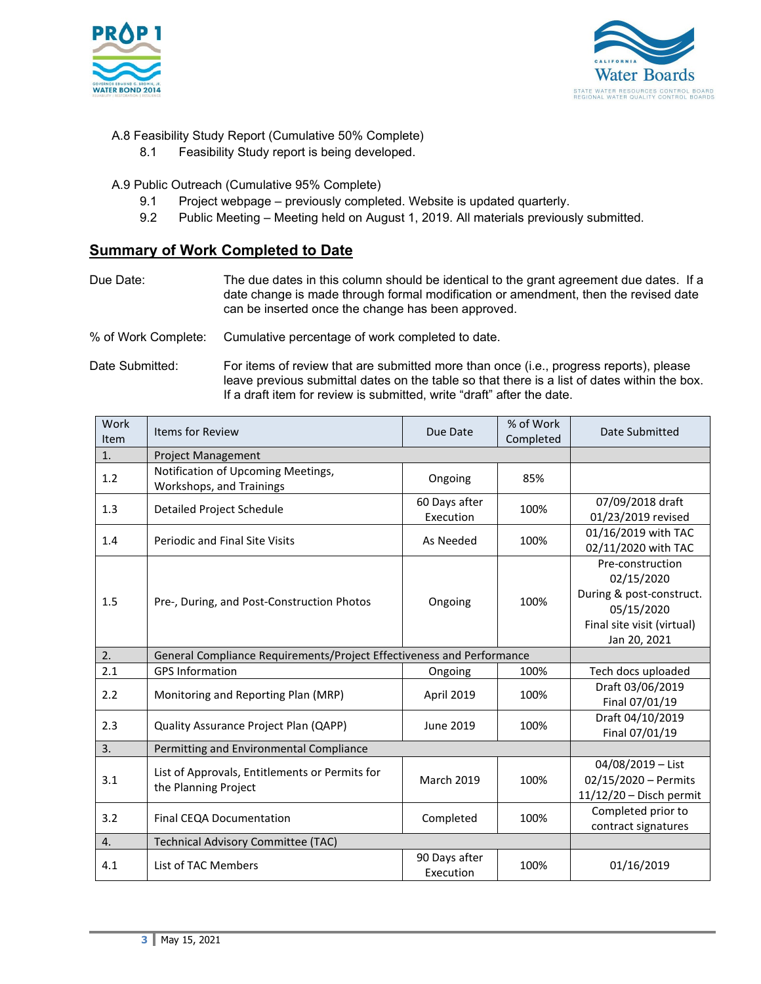



- A.8 Feasibility Study Report (Cumulative 50% Complete)
	- 8.1 Feasibility Study report is being developed.
- A.9 Public Outreach (Cumulative 95% Complete)
	- 9.1 Project webpage previously completed. Website is updated quarterly.
	- 9.2 Public Meeting Meeting held on August 1, 2019. All materials previously submitted.

# **Summary of Work Completed to Date**

- Due Date: The due dates in this column should be identical to the grant agreement due dates. If a date change is made through formal modification or amendment, then the revised date can be inserted once the change has been approved.
- % of Work Complete: Cumulative percentage of work completed to date.
- Date Submitted: For items of review that are submitted more than once (i.e., progress reports), please leave previous submittal dates on the table so that there is a list of dates within the box. If a draft item for review is submitted, write "draft" after the date.

| Work<br><b>Item</b> | <b>Items for Review</b>                                                | Due Date                   | % of Work<br>Completed | Date Submitted                                                                                                         |
|---------------------|------------------------------------------------------------------------|----------------------------|------------------------|------------------------------------------------------------------------------------------------------------------------|
| 1.                  | <b>Project Management</b>                                              |                            |                        |                                                                                                                        |
| 1.2                 | Notification of Upcoming Meetings,<br>Workshops, and Trainings         | Ongoing                    | 85%                    |                                                                                                                        |
| 1.3                 | <b>Detailed Project Schedule</b>                                       | 60 Days after<br>Execution | 100%                   | 07/09/2018 draft<br>01/23/2019 revised                                                                                 |
| 1.4                 | Periodic and Final Site Visits                                         | As Needed                  | 100%                   | 01/16/2019 with TAC<br>02/11/2020 with TAC                                                                             |
| 1.5                 | Pre-, During, and Post-Construction Photos                             | Ongoing                    | 100%                   | Pre-construction<br>02/15/2020<br>During & post-construct.<br>05/15/2020<br>Final site visit (virtual)<br>Jan 20, 2021 |
|                     |                                                                        |                            |                        |                                                                                                                        |
| 2.                  | General Compliance Requirements/Project Effectiveness and Performance  |                            |                        |                                                                                                                        |
| 2.1                 | <b>GPS Information</b>                                                 | Ongoing                    | 100%                   | Tech docs uploaded                                                                                                     |
| 2.2                 | Monitoring and Reporting Plan (MRP)                                    | April 2019                 | 100%                   | Draft 03/06/2019<br>Final 07/01/19                                                                                     |
| 2.3                 | Quality Assurance Project Plan (QAPP)                                  | June 2019                  | 100%                   | Draft 04/10/2019<br>Final 07/01/19                                                                                     |
| 3.                  | Permitting and Environmental Compliance                                |                            |                        |                                                                                                                        |
| 3.1                 | List of Approvals, Entitlements or Permits for<br>the Planning Project | <b>March 2019</b>          | 100%                   | 04/08/2019 - List<br>02/15/2020 - Permits<br>$11/12/20$ - Disch permit                                                 |
| 3.2                 | Final CEQA Documentation                                               | Completed                  | 100%                   | Completed prior to<br>contract signatures                                                                              |
| 4.                  | Technical Advisory Committee (TAC)                                     |                            |                        |                                                                                                                        |